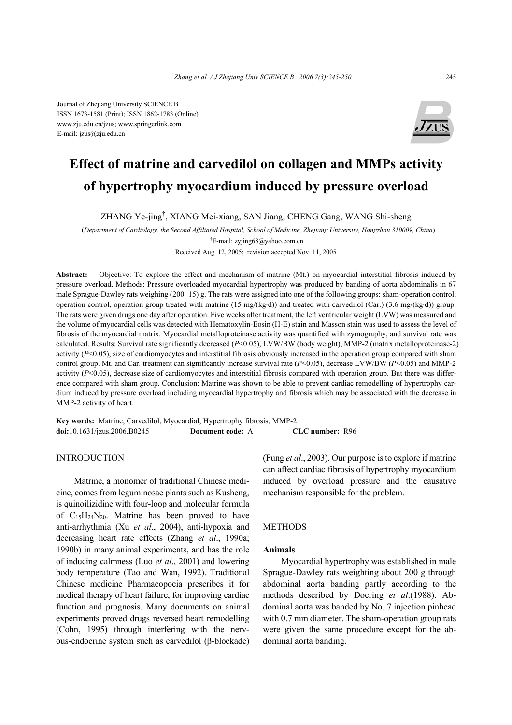Journal of Zhejiang University SCIENCE B ISSN 1673-1581 (Print); ISSN 1862-1783 (Online) www.zju.edu.cn/jzus; www.springerlink.com E-mail: jzus@zju.edu.cn



# **Effect of matrine and carvedilol on collagen and MMPs activity of hypertrophy myocardium induced by pressure overload**

ZHANG Ye-jing† , XIANG Mei-xiang, SAN Jiang, CHENG Gang, WANG Shi-sheng

(*Department of Cardiology, the Second Affiliated Hospital, School of Medicine, Zhejiang University, Hangzhou 310009, China*) † E-mail: zyjing68@yahoo.com.cn

Received Aug. 12, 2005; revision accepted Nov. 11, 2005

**Abstract:** Objective: To explore the effect and mechanism of matrine (Mt.) on myocardial interstitial fibrosis induced by pressure overload. Methods: Pressure overloaded myocardial hypertrophy was produced by banding of aorta abdominalis in 67 male Sprague-Dawley rats weighing (200±15) g. The rats were assigned into one of the following groups: sham-operation control, operation control, operation group treated with matrine (15 mg/(kg⋅d)) and treated with carvedilol (Car.) (3.6 mg/(kg⋅d)) group. The rats were given drugs one day after operation. Five weeks after treatment, the left ventricular weight (LVW) was measured and the volume of myocardial cells was detected with Hematoxylin-Eosin (H-E) stain and Masson stain was used to assess the level of fibrosis of the myocardial matrix. Myocardial metalloproteinase activity was quantified with zymography, and survival rate was calculated. Results: Survival rate significantly decreased (*P*<0.05), LVW/BW (body weight), MMP-2 (matrix metalloproteinase-2) activity  $(P<0.05)$ , size of cardiomyocytes and interstitial fibrosis obviously increased in the operation group compared with sham control group. Mt. and Car. treatment can significantly increase survival rate (*P*<0.05), decrease LVW/BW (*P*<0.05) and MMP-2 activity  $(P<0.05)$ , decrease size of cardiomyocytes and interstitial fibrosis compared with operation group. But there was difference compared with sham group. Conclusion: Matrine was shown to be able to prevent cardiac remodelling of hypertrophy cardium induced by pressure overload including myocardial hypertrophy and fibrosis which may be associated with the decrease in MMP-2 activity of heart.

**Key words:** Matrine, Carvedilol, Myocardial, Hypertrophy fibrosis, MMP-2 **doi:**10.1631/jzus.2006.B0245 **Document code:** A **CLC number:** R96

# INTRODUCTION

Matrine, a monomer of traditional Chinese medicine, comes from leguminosae plants such as Kusheng, is quinoilizidine with four-loop and molecular formula of  $C_{15}H_{24}N_{20}$ . Matrine has been proved to have anti-arrhythmia (Xu *et al*., 2004), anti-hypoxia and decreasing heart rate effects (Zhang *et al*., 1990a; 1990b) in many animal experiments, and has the role of inducing calmness (Luo *et al*., 2001) and lowering body temperature (Tao and Wan, 1992). Traditional Chinese medicine Pharmacopoeia prescribes it for medical therapy of heart failure, for improving cardiac function and prognosis. Many documents on animal experiments proved drugs reversed heart remodelling (Cohn, 1995) through interfering with the nervous-endocrine system such as carvedilol (β-blockade) (Fung *et al*., 2003). Our purpose is to explore if matrine can affect cardiac fibrosis of hypertrophy myocardium induced by overload pressure and the causative mechanism responsible for the problem.

## METHODS

## **Animals**

Myocardial hypertrophy was established in male Sprague-Dawley rats weighting about 200 g through abdominal aorta banding partly according to the methods described by Doering *et al*.(1988). Abdominal aorta was banded by No. 7 injection pinhead with 0.7 mm diameter. The sham-operation group rats were given the same procedure except for the abdominal aorta banding.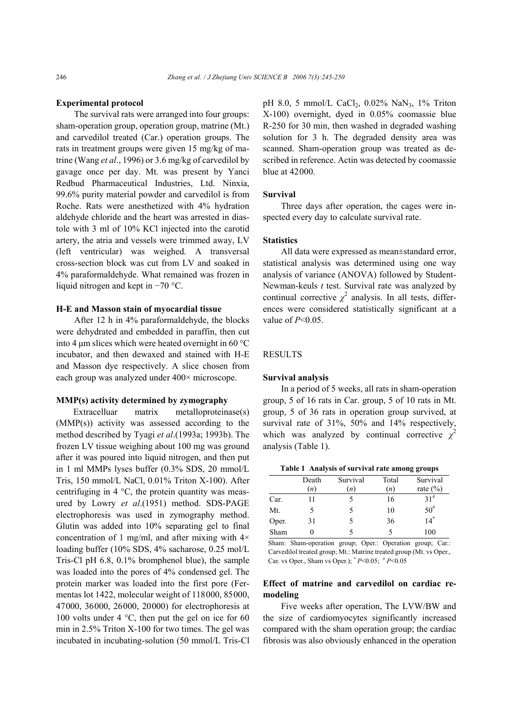## **Experimental protocol**

The survival rats were arranged into four groups: sham-operation group, operation group, matrine (Mt.) and carvedilol treated (Car.) operation groups. The rats in treatment groups were given 15 mg/kg of matrine (Wang *et al*., 1996) or 3.6 mg/kg of carvedilol by gavage once per day. Mt. was present by Yanci Redbud Pharmaceutical Industries, Ltd. Ninxia, 99.6% purity material powder and carvedilol is from Roche. Rats were anesthetized with 4% hydration aldehyde chloride and the heart was arrested in diastole with 3 ml of 10% KCl injected into the carotid artery, the atria and vessels were trimmed away, LV (left ventricular) was weighed. A transversal cross-section block was cut from LV and soaked in 4% paraformaldehyde. What remained was frozen in liquid nitrogen and kept in −70 °C.

## **H-E and Masson stain of myocardial tissue**

After 12 h in 4% paraformaldehyde, the blocks were dehydrated and embedded in paraffin, then cut into 4  $\mu$ m slices which were heated overnight in 60 °C incubator, and then dewaxed and stained with H-E and Masson dye respectively. A slice chosen from each group was analyzed under 400× microscope.

# **MMP(s) activity determined by zymography**

Extracelluar matrix metalloproteinase(s) (MMP(s)) activity was assessed according to the method described by Tyagi *et al*.(1993a; 1993b). The frozen LV tissue weighing about 100 mg was ground after it was poured into liquid nitrogen, and then put in 1 ml MMPs lyses buffer (0.3% SDS, 20 mmol/L Tris, 150 mmol/L NaCl, 0.01% Triton X-100). After centrifuging in 4 °C, the protein quantity was measured by Lowry *et al*.(1951) method. SDS-PAGE electrophoresis was used in zymography method. Glutin was added into 10% separating gel to final concentration of 1 mg/ml, and after mixing with  $4\times$ loading buffer (10% SDS, 4% sacharose, 0.25 mol/L Tris-Cl pH 6.8, 0.1% bromphenol blue), the sample was loaded into the pores of 4% condensed gel. The protein marker was loaded into the first pore (Fermentas lot 1422, molecular weight of 118000, 85000, 47000, 36000, 26000, 20000) for electrophoresis at 100 volts under 4 °C, then put the gel on ice for 60 min in 2.5% Triton X-100 for two times. The gel was incubated in incubating-solution (50 mmol/L Tris-Cl pH 8.0, 5 mmol/L CaCl<sub>2</sub>, 0.02% NaN<sub>3</sub>, 1% Triton X-100) overnight, dyed in 0.05% coomassie blue R-250 for 30 min, then washed in degraded washing solution for 3 h. The degraded density area was scanned. Sham-operation group was treated as described in reference. Actin was detected by coomassie blue at 42000.

# **Survival**

Three days after operation, the cages were inspected every day to calculate survival rate.

# **Statistics**

All data were expressed as mean±standard error, statistical analysis was determined using one way analysis of variance (ANOVA) followed by Student-Newman-keuls *t* test. Survival rate was analyzed by continual corrective  $\chi^2$  analysis. In all tests, differences were considered statistically significant at a value of *P*<0.05.

# **RESULTS**

#### **Survival analysis**

In a period of 5 weeks, all rats in sham-operation group, 5 of 16 rats in Car. group, 5 of 10 rats in Mt. group, 5 of 36 rats in operation group survived, at survival rate of 31%, 50% and 14% respectively, which was analyzed by continual corrective  $\chi^2$ analysis (Table 1).

|  | Table 1 Analysis of survival rate among groups |
|--|------------------------------------------------|
|  |                                                |

|       | Death | Survival | Total | Survival       |
|-------|-------|----------|-------|----------------|
|       | (n)   | (n)      | (n)   | rate $(\% )$   |
| Car.  | 11    |          | 16    | $31^{\#}$      |
| Mt.   |       |          | 10    | $50^{#}$       |
| Oper. | 31    | 5        | 36    | $\frac{1}{14}$ |
| Sham  |       |          | 5     | 100            |

Sham: Sham-operation group; Oper.: Operation group; Car.: Carvedilol treated group; Mt.: Matrine treated group (Mt. vs Oper., Car. vs Oper., Sham vs Oper.); \* *P*<0.05; # *P*<0.05

# **Effect of matrine and carvedilol on cardiac remodeling**

Five weeks after operation, The LVW/BW and the size of cardiomyocytes significantly increased compared with the sham operation group; the cardiac fibrosis was also obviously enhanced in the operation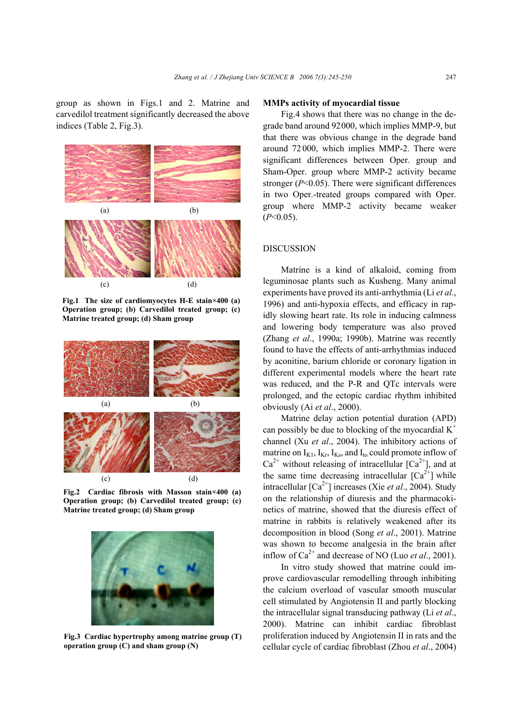group as shown in Figs.1 and 2. Matrine and carvedilol treatment significantly decreased the above indices (Table 2, Fig.3).



**Fig.1 The size of cardiomyocytes H-E stain×400 (a) Operation group; (b) Carvedilol treated group; (c) Matrine treated group; (d) Sham group** 



**Fig.2 Cardiac fibrosis with Masson stain×400 (a) Operation group; (b) Carvedilol treated group; (c) Matrine treated group; (d) Sham group** 



**Fig.3 Cardiac hypertrophy among matrine group (T) operation group (C) and sham group (N)**

## **MMPs activity of myocardial tissue**

Fig.4 shows that there was no change in the degrade band around 92000, which implies MMP-9, but that there was obvious change in the degrade band around 72 000, which implies MMP-2. There were significant differences between Oper. group and Sham-Oper. group where MMP-2 activity became stronger (*P*<0.05). There were significant differences in two Oper.-treated groups compared with Oper. group where MMP-2 activity became weaker (*P*<0.05).

# DISCUSSION

Matrine is a kind of alkaloid, coming from leguminosae plants such as Kusheng. Many animal experiments have proved its anti-arrhythmia (Li *et al*., 1996) and anti-hypoxia effects, and efficacy in rapidly slowing heart rate. Its role in inducing calmness and lowering body temperature was also proved (Zhang *et al*., 1990a; 1990b). Matrine was recently found to have the effects of anti-arrhythmias induced by aconitine, barium chloride or coronary ligation in different experimental models where the heart rate was reduced, and the P-R and QTc intervals were prolonged, and the ectopic cardiac rhythm inhibited obviously (Ai *et al*., 2000).

Matrine delay action potential duration (APD) can possibly be due to blocking of the myocardial  $K^+$ channel (Xu *et al*., 2004). The inhibitory actions of matrine on  $I_{K1}$ ,  $I_{Kr}$ ,  $I_{Ks}$ , and  $I_{to}$  could promote inflow of  $Ca^{2+}$  without releasing of intracellular  $[Ca^{2+}]$ , and at the same time decreasing intracellular  $[Ca^{2+}]$  while intracellular [Ca2+] increases (Xie *et al*., 2004). Study on the relationship of diuresis and the pharmacokinetics of matrine, showed that the diuresis effect of matrine in rabbits is relatively weakened after its decomposition in blood (Song *et al*., 2001). Matrine was shown to become analgesia in the brain after inflow of  $Ca^{2+}$  and decrease of NO (Luo *et al.*, 2001).

In vitro study showed that matrine could improve cardiovascular remodelling through inhibiting the calcium overload of vascular smooth muscular cell stimulated by Angiotensin II and partly blocking the intracellular signal transducing pathway (Li *et al*., 2000). Matrine can inhibit cardiac fibroblast proliferation induced by Angiotensin II in rats and the cellular cycle of cardiac fibroblast (Zhou *et al*., 2004)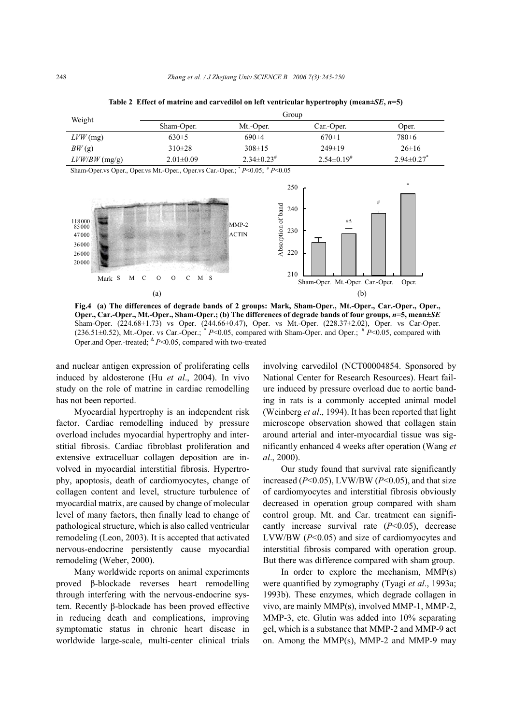| Weight          | Group           |                    |                    |                            |  |
|-----------------|-----------------|--------------------|--------------------|----------------------------|--|
|                 | Sham-Oper.      | Mt.-Oper.          | Car.-Oper.         | Oper.                      |  |
| $LVW$ (mg)      | $630\pm5$       | $690\pm4$          | $670 \pm 1$        | 780±6                      |  |
| BW(g)           | $310\pm28$      | $308 \pm 15$       | $249\pm19$         | $26\pm16$                  |  |
| $LVW/BW$ (mg/g) | $2.01 \pm 0.09$ | $2.34\pm0.23^{\#}$ | $2.54\pm0.19^{\#}$ | $2.94\pm0.27$ <sup>*</sup> |  |

**Table 2 Effect of matrine and carvedilol on left ventricular hypertrophy (mean±***SE***,** *n***=5)** 

Sham-Oper.vs Oper., Oper.vs Mt.-Oper., Oper.vs Car.-Oper.; \* *P*<0.05; # *P*<0.05



**Fig.4 (a) The differences of degrade bands of 2 groups: Mark, Sham-Oper., Mt.-Oper., Car.-Oper., Oper., Oper., Car.-Oper., Mt.-Oper., Sham-Oper.; (b) The differences of degrade bands of four groups,** *n***=5, mean±***SE* Sham-Oper. (224.68±1.73) vs Oper. (244.66±0.47), Oper. vs Mt.-Oper. (228.37±2.02), Oper. vs Car-Oper. (236.51±0.52), Mt.-Oper. vs Car.-Oper.; \* *P*<0.05, compared with Sham-Oper. and Oper.; # *P*<0.05, compared with Oper.and Oper.-treated; <sup>∆</sup> *P*<0.05, compared with two-treated

and nuclear antigen expression of proliferating cells induced by aldosterone (Hu *et al*., 2004). In vivo study on the role of matrine in cardiac remodelling has not been reported.

Myocardial hypertrophy is an independent risk factor. Cardiac remodelling induced by pressure overload includes myocardial hypertrophy and interstitial fibrosis. Cardiac fibroblast proliferation and extensive extracelluar collagen deposition are involved in myocardial interstitial fibrosis. Hypertrophy, apoptosis, death of cardiomyocytes, change of collagen content and level, structure turbulence of myocardial matrix, are caused by change of molecular level of many factors, then finally lead to change of pathological structure, which is also called ventricular remodeling (Leon, 2003). It is accepted that activated nervous-endocrine persistently cause myocardial remodeling (Weber, 2000).

Many worldwide reports on animal experiments proved β-blockade reverses heart remodelling through interfering with the nervous-endocrine system. Recently β-blockade has been proved effective in reducing death and complications, improving symptomatic status in chronic heart disease in worldwide large-scale, multi-center clinical trials involving carvedilol (NCT00004854. Sponsored by National Center for Research Resources). Heart failure induced by pressure overload due to aortic banding in rats is a commonly accepted animal model (Weinberg *et al*., 1994). It has been reported that light microscope observation showed that collagen stain around arterial and inter-myocardial tissue was significantly enhanced 4 weeks after operation (Wang *et al*., 2000).

Our study found that survival rate significantly increased (*P*<0.05), LVW/BW (*P*<0.05), and that size of cardiomyocytes and interstitial fibrosis obviously decreased in operation group compared with sham control group. Mt. and Car. treatment can significantly increase survival rate (*P*<0.05), decrease LVW/BW (*P*<0.05) and size of cardiomyocytes and interstitial fibrosis compared with operation group. But there was difference compared with sham group.

In order to explore the mechanism, MMP(s) were quantified by zymography (Tyagi *et al*., 1993a; 1993b). These enzymes, which degrade collagen in vivo, are mainly MMP(s), involved MMP-1, MMP-2, MMP-3, etc. Glutin was added into 10% separating gel, which is a substance that MMP-2 and MMP-9 act on. Among the MMP(s), MMP-2 and MMP-9 may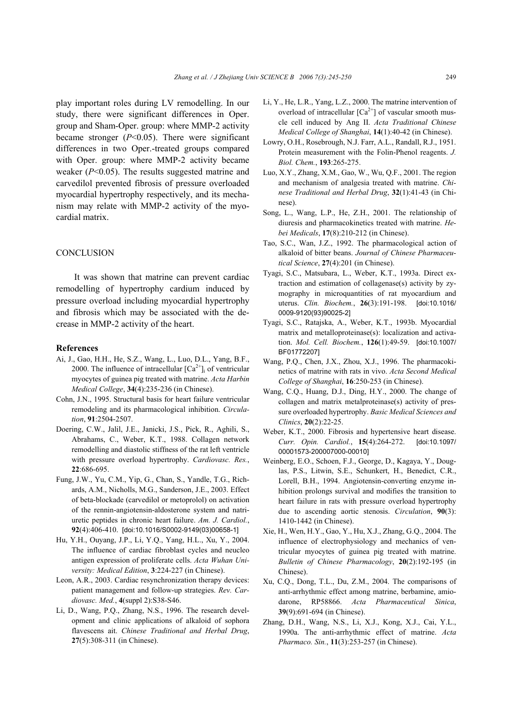play important roles during LV remodelling. In our study, there were significant differences in Oper. group and Sham-Oper. group: where MMP-2 activity became stronger (*P*<0.05). There were significant differences in two Oper.-treated groups compared with Oper. group: where MMP-2 activity became weaker (*P*<0.05). The results suggested matrine and carvedilol prevented fibrosis of pressure overloaded myocardial hypertrophy respectively, and its mechanism may relate with MMP-2 activity of the myocardial matrix.

## **CONCLUSION**

It was shown that matrine can prevent cardiac remodelling of hypertrophy cardium induced by pressure overload including myocardial hypertrophy and fibrosis which may be associated with the decrease in MMP-2 activity of the heart.

## **References**

- Ai, J., Gao, H.H., He, S.Z., Wang, L., Luo, D.L., Yang, B.F., 2000. The influence of intracellular  $[Ca^{2+}]_i$  of ventricular myocytes of guinea pig treated with matrine. *Acta Harbin Medical College*, **34**(4):235-236 (in Chinese).
- Cohn, J.N., 1995. Structural basis for heart failure ventricular remodeling and its pharmacological inhibition. *Circulation*, **91**:2504-2507.
- Doering, C.W., Jalil, J.E., Janicki, J.S., Pick, R., Aghili, S., Abrahams, C., Weber, K.T., 1988. Collagen network remodelling and diastolic stiffness of the rat left ventricle with pressure overload hypertrophy. *Cardiovasc. Res.*, **22**:686-695.
- Fung, J.W., Yu, C.M., Yip, G., Chan, S., Yandle, T.G., Richards, A.M., Nicholls, M.G., Sanderson, J.E., 2003. Effect of beta-blockade (carvedilol or metoprolol) on activation of the rennin-angiotensin-aldosterone system and natriuretic peptides in chronic heart failure. *Am. J. Cardiol.*, **92**(4):406-410. [doi:10.1016/S0002-9149(03)00658-1]
- Hu, Y.H., Ouyang, J.P., Li, Y.Q., Yang, H.L., Xu, Y., 2004. The influence of cardiac fibroblast cycles and neucleo antigen expression of proliferate cells. *Acta Wuhan University: Medical Edition*, **3**:224-227 (in Chinese).
- Leon, A.R., 2003. Cardiac resynchronization therapy devices: patient management and follow-up strategies. *Rev. Cardiovasc. Med.*, **4**(suppl 2):S38-S46.
- Li, D., Wang, P.Q., Zhang, N.S., 1996. The research development and clinic applications of alkaloid of sophora flavescens ait. *Chinese Traditional and Herbal Drug*, **27**(5):308-311 (in Chinese).
- Li, Y., He, L.R., Yang, L.Z., 2000. The matrine intervention of overload of intracellular  $[Ca^{2+}]$  of vascular smooth muscle cell induced by Ang II. *Acta Traditional Chinese Medical College of Shanghai*, **14**(1):40-42 (in Chinese).
- Lowry, O.H., Rosebrough, N.J. Farr, A.L., Randall, R.J., 1951. Protein measurement with the Folin-Phenol reagents. *J. Biol. Chem.*, **193**:265-275.
- Luo, X.Y., Zhang, X.M., Gao, W., Wu, Q.F., 2001. The region and mechanism of analgesia treated with matrine. *Chinese Traditional and Herbal Drug*, **32**(1):41-43 (in Chinese).
- Song, L., Wang, L.P., He, Z.H., 2001. The relationship of diuresis and pharmacokinetics treated with matrine. *Hebei Medicals*, **17**(8):210-212 (in Chinese).
- Tao, S.C., Wan, J.Z., 1992. The pharmacological action of alkaloid of bitter beans. *Journal of Chinese Pharmaceutical Science*, **27**(4):201 (in Chinese).
- Tyagi, S.C., Matsubara, L., Weber, K.T., 1993a. Direct extraction and estimation of collagenase(s) activity by zymography in microquantities of rat myocardium and uterus. *Clin. Biochem.*, **26**(3):191-198. [doi:10.1016/ 0009-9120(93)90025-2]
- Tyagi, S.C., Ratajska, A., Weber, K.T., 1993b. Myocardial matrix and metalloproteinase(s): localization and activation. *Mol. Cell. Biochem.*, **126**(1):49-59. [doi:10.1007/ BF01772207]
- Wang, P.Q., Chen, J.X., Zhou, X.J., 1996. The pharmacokinetics of matrine with rats in vivo. *Acta Second Medical College of Shanghai*, **16**:250-253 (in Chinese).
- Wang, C.Q., Huang, D.J., Ding, H.Y., 2000. The change of collagen and matrix metalproteinase(s) activity of pressure overloaded hypertrophy. *Basic Medical Sciences and Clinics*, **20**(2):22-25.
- Weber, K.T., 2000. Fibrosis and hypertensive heart disease. *Curr. Opin. Cardiol.*, **15**(4):264-272. [doi:10.1097/ 00001573-200007000-00010]
- Weinberg, E.O., Schoen, F.J., George, D., Kagaya, Y., Douglas, P.S., Litwin, S.E., Schunkert, H., Benedict, C.R., Lorell, B.H., 1994. Angiotensin-converting enzyme inhibition prolongs survival and modifies the transition to heart failure in rats with pressure overload hypertrophy due to ascending aortic stenosis. *Circulation*, **90**(3): 1410-1442 (in Chinese).
- Xie, H., Wen, H.Y., Gao, Y., Hu, X.J., Zhang, G.Q., 2004. The influence of electrophysiology and mechanics of ventricular myocytes of guinea pig treated with matrine. *Bulletin of Chinese Pharmacology*, **20**(2):192-195 (in Chinese).
- Xu, C.Q., Dong, T.L., Du, Z.M., 2004. The comparisons of anti-arrhythmic effect among matrine, berbamine, amiodarone, RP58866. *Acta Pharmaceutical Sinica*, **39**(9):691-694 (in Chinese).
- Zhang, D.H., Wang, N.S., Li, X.J., Kong, X.J., Cai, Y.L., 1990a. The anti-arrhythmic effect of matrine. *Acta Pharmaco. Sin.*, **11**(3):253-257 (in Chinese).